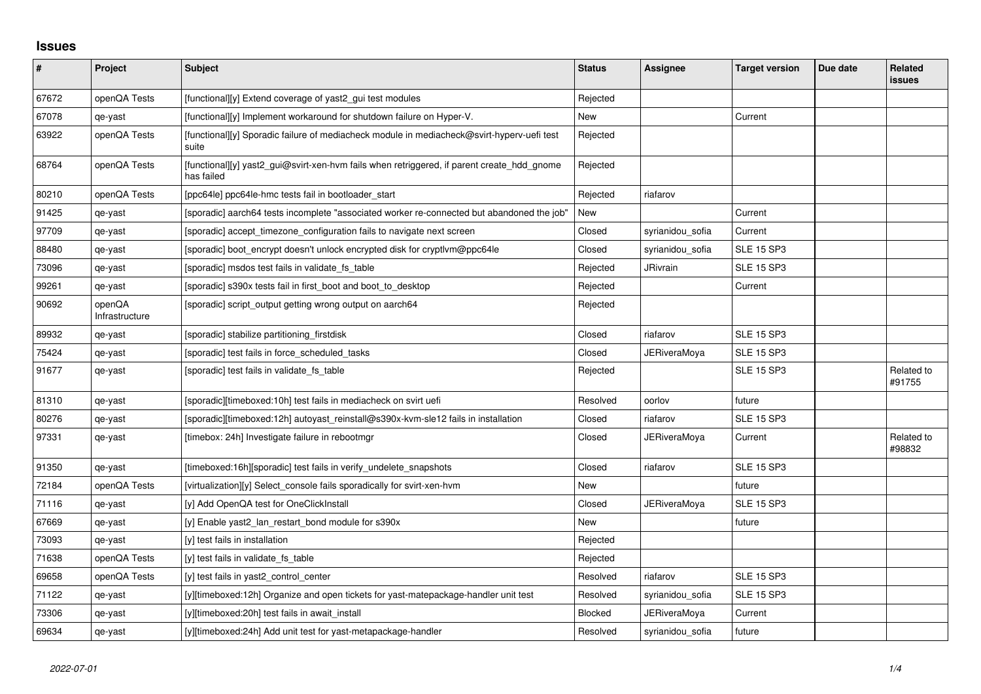## **Issues**

| $\pmb{\#}$ | Project                  | <b>Subject</b>                                                                                           | <b>Status</b> | <b>Assignee</b>     | <b>Target version</b> | Due date | Related<br><b>issues</b> |
|------------|--------------------------|----------------------------------------------------------------------------------------------------------|---------------|---------------------|-----------------------|----------|--------------------------|
| 67672      | openQA Tests             | [functional][y] Extend coverage of yast2 gui test modules                                                | Rejected      |                     |                       |          |                          |
| 67078      | qe-yast                  | [functional][y] Implement workaround for shutdown failure on Hyper-V.                                    | <b>New</b>    |                     | Current               |          |                          |
| 63922      | openQA Tests             | [functional][y] Sporadic failure of mediacheck module in mediacheck@svirt-hyperv-uefi test<br>suite      | Rejected      |                     |                       |          |                          |
| 68764      | openQA Tests             | [functional][y] yast2_gui@svirt-xen-hvm fails when retriggered, if parent create_hdd_gnome<br>has failed | Rejected      |                     |                       |          |                          |
| 80210      | openQA Tests             | [ppc64le] ppc64le-hmc tests fail in bootloader start                                                     | Rejected      | riafarov            |                       |          |                          |
| 91425      | qe-yast                  | [sporadic] aarch64 tests incomplete "associated worker re-connected but abandoned the job"               | <b>New</b>    |                     | Current               |          |                          |
| 97709      | qe-yast                  | [sporadic] accept_timezone_configuration fails to navigate next screen                                   | Closed        | syrianidou sofia    | Current               |          |                          |
| 88480      | qe-yast                  | [sporadic] boot_encrypt doesn't unlock encrypted disk for cryptlym@ppc64le                               | Closed        | syrianidou sofia    | <b>SLE 15 SP3</b>     |          |                          |
| 73096      | qe-yast                  | [sporadic] msdos test fails in validate fs table                                                         | Rejected      | JRivrain            | <b>SLE 15 SP3</b>     |          |                          |
| 99261      | qe-yast                  | [sporadic] s390x tests fail in first_boot and boot_to_desktop                                            | Rejected      |                     | Current               |          |                          |
| 90692      | openQA<br>Infrastructure | [sporadic] script output getting wrong output on aarch64                                                 | Rejected      |                     |                       |          |                          |
| 89932      | qe-yast                  | [sporadic] stabilize partitioning firstdisk                                                              | Closed        | riafarov            | <b>SLE 15 SP3</b>     |          |                          |
| 75424      | qe-yast                  | [sporadic] test fails in force_scheduled_tasks                                                           | Closed        | JERiveraMoya        | <b>SLE 15 SP3</b>     |          |                          |
| 91677      | qe-yast                  | [sporadic] test fails in validate_fs_table                                                               | Rejected      |                     | <b>SLE 15 SP3</b>     |          | Related to<br>#91755     |
| 81310      | qe-yast                  | [sporadic][timeboxed:10h] test fails in mediacheck on svirt uefi                                         | Resolved      | oorlov              | future                |          |                          |
| 80276      | qe-yast                  | [sporadic][timeboxed:12h] autoyast_reinstall@s390x-kvm-sle12 fails in installation                       | Closed        | riafarov            | <b>SLE 15 SP3</b>     |          |                          |
| 97331      | qe-yast                  | [timebox: 24h] Investigate failure in rebootmgr                                                          | Closed        | JERiveraMoya        | Current               |          | Related to<br>#98832     |
| 91350      | qe-yast                  | [timeboxed:16h][sporadic] test fails in verify_undelete_snapshots                                        | Closed        | riafarov            | <b>SLE 15 SP3</b>     |          |                          |
| 72184      | openQA Tests             | [virtualization][y] Select_console fails sporadically for svirt-xen-hvm                                  | New           |                     | future                |          |                          |
| 71116      | qe-yast                  | [y] Add OpenQA test for OneClickInstall                                                                  | Closed        | JERiveraMoya        | <b>SLE 15 SP3</b>     |          |                          |
| 67669      | qe-yast                  | [y] Enable yast2_lan_restart_bond module for s390x                                                       | New           |                     | future                |          |                          |
| 73093      | qe-yast                  | [y] test fails in installation                                                                           | Rejected      |                     |                       |          |                          |
| 71638      | openQA Tests             | [y] test fails in validate fs table                                                                      | Rejected      |                     |                       |          |                          |
| 69658      | openQA Tests             | [y] test fails in yast2 control center                                                                   | Resolved      | riafarov            | <b>SLE 15 SP3</b>     |          |                          |
| 71122      | qe-yast                  | [y][timeboxed:12h] Organize and open tickets for yast-matepackage-handler unit test                      | Resolved      | syrianidou_sofia    | <b>SLE 15 SP3</b>     |          |                          |
| 73306      | qe-yast                  | [y][timeboxed:20h] test fails in await install                                                           | Blocked       | <b>JERiveraMoya</b> | Current               |          |                          |
| 69634      | qe-yast                  | [y][timeboxed:24h] Add unit test for yast-metapackage-handler                                            | Resolved      | syrianidou sofia    | future                |          |                          |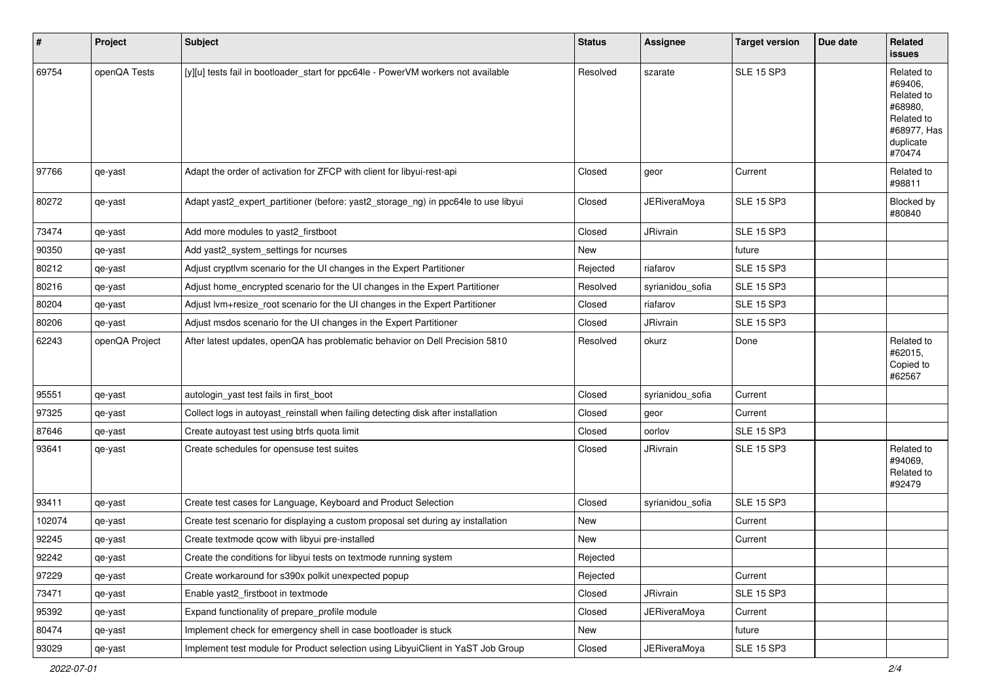| #      | Project        | <b>Subject</b>                                                                     | <b>Status</b> | Assignee            | <b>Target version</b> | Due date | Related<br>issues                                                                                  |
|--------|----------------|------------------------------------------------------------------------------------|---------------|---------------------|-----------------------|----------|----------------------------------------------------------------------------------------------------|
| 69754  | openQA Tests   | [y][u] tests fail in bootloader_start for ppc64le - PowerVM workers not available  | Resolved      | szarate             | <b>SLE 15 SP3</b>     |          | Related to<br>#69406,<br>Related to<br>#68980,<br>Related to<br>#68977, Has<br>duplicate<br>#70474 |
| 97766  | qe-yast        | Adapt the order of activation for ZFCP with client for libyui-rest-api             | Closed        | geor                | Current               |          | Related to<br>#98811                                                                               |
| 80272  | qe-yast        | Adapt yast2_expert_partitioner (before: yast2_storage_ng) in ppc64le to use libyui | Closed        | <b>JERiveraMoya</b> | <b>SLE 15 SP3</b>     |          | Blocked by<br>#80840                                                                               |
| 73474  | qe-yast        | Add more modules to yast2_firstboot                                                | Closed        | JRivrain            | <b>SLE 15 SP3</b>     |          |                                                                                                    |
| 90350  | qe-yast        | Add yast2_system_settings for ncurses                                              | New           |                     | future                |          |                                                                                                    |
| 80212  | qe-yast        | Adjust cryptlvm scenario for the UI changes in the Expert Partitioner              | Rejected      | riafarov            | <b>SLE 15 SP3</b>     |          |                                                                                                    |
| 80216  | qe-yast        | Adjust home_encrypted scenario for the UI changes in the Expert Partitioner        | Resolved      | syrianidou_sofia    | <b>SLE 15 SP3</b>     |          |                                                                                                    |
| 80204  | qe-yast        | Adjust lvm+resize_root scenario for the UI changes in the Expert Partitioner       | Closed        | riafarov            | <b>SLE 15 SP3</b>     |          |                                                                                                    |
| 80206  | qe-yast        | Adjust msdos scenario for the UI changes in the Expert Partitioner                 | Closed        | <b>JRivrain</b>     | <b>SLE 15 SP3</b>     |          |                                                                                                    |
| 62243  | openQA Project | After latest updates, openQA has problematic behavior on Dell Precision 5810       | Resolved      | okurz               | Done                  |          | Related to<br>#62015,<br>Copied to<br>#62567                                                       |
| 95551  | qe-yast        | autologin_yast test fails in first_boot                                            | Closed        | syrianidou_sofia    | Current               |          |                                                                                                    |
| 97325  | qe-yast        | Collect logs in autoyast_reinstall when failing detecting disk after installation  | Closed        | geor                | Current               |          |                                                                                                    |
| 87646  | qe-yast        | Create autoyast test using btrfs quota limit                                       | Closed        | oorlov              | <b>SLE 15 SP3</b>     |          |                                                                                                    |
| 93641  | qe-yast        | Create schedules for opensuse test suites                                          | Closed        | <b>JRivrain</b>     | <b>SLE 15 SP3</b>     |          | Related to<br>#94069,<br>Related to<br>#92479                                                      |
| 93411  | qe-yast        | Create test cases for Language, Keyboard and Product Selection                     | Closed        | syrianidou_sofia    | <b>SLE 15 SP3</b>     |          |                                                                                                    |
| 102074 | qe-yast        | Create test scenario for displaying a custom proposal set during ay installation   | New           |                     | Current               |          |                                                                                                    |
| 92245  | qe-yast        | Create textmode qcow with libyui pre-installed                                     | New           |                     | Current               |          |                                                                                                    |
| 92242  | qe-yast        | Create the conditions for libyui tests on textmode running system                  | Rejected      |                     |                       |          |                                                                                                    |
| 97229  | qe-yast        | Create workaround for s390x polkit unexpected popup                                | Rejected      |                     | Current               |          |                                                                                                    |
| 73471  | qe-yast        | Enable yast2 firstboot in textmode                                                 | Closed        | JRivrain            | <b>SLE 15 SP3</b>     |          |                                                                                                    |
| 95392  | qe-yast        | Expand functionality of prepare profile module                                     | Closed        | <b>JERiveraMoya</b> | Current               |          |                                                                                                    |
| 80474  | qe-yast        | Implement check for emergency shell in case bootloader is stuck                    | New           |                     | future                |          |                                                                                                    |
| 93029  | qe-yast        | Implement test module for Product selection using LibyuiClient in YaST Job Group   | Closed        | <b>JERiveraMoya</b> | <b>SLE 15 SP3</b>     |          |                                                                                                    |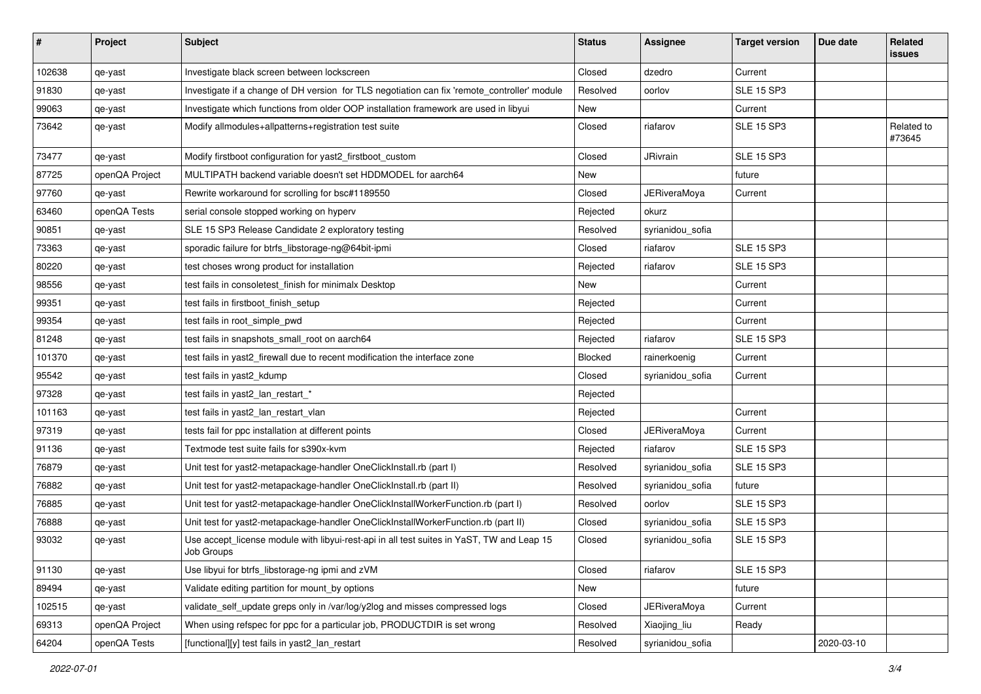| #      | Project        | <b>Subject</b>                                                                                          | <b>Status</b> | Assignee            | <b>Target version</b> | Due date   | Related<br>issues    |
|--------|----------------|---------------------------------------------------------------------------------------------------------|---------------|---------------------|-----------------------|------------|----------------------|
| 102638 | qe-yast        | Investigate black screen between lockscreen                                                             | Closed        | dzedro              | Current               |            |                      |
| 91830  | qe-yast        | Investigate if a change of DH version for TLS negotiation can fix 'remote_controller' module            | Resolved      | oorlov              | <b>SLE 15 SP3</b>     |            |                      |
| 99063  | qe-yast        | Investigate which functions from older OOP installation framework are used in libyui                    | New           |                     | Current               |            |                      |
| 73642  | qe-yast        | Modify allmodules+allpatterns+registration test suite                                                   | Closed        | riafarov            | <b>SLE 15 SP3</b>     |            | Related to<br>#73645 |
| 73477  | qe-yast        | Modify firstboot configuration for yast2_firstboot_custom                                               | Closed        | JRivrain            | <b>SLE 15 SP3</b>     |            |                      |
| 87725  | openQA Project | MULTIPATH backend variable doesn't set HDDMODEL for aarch64                                             | New           |                     | future                |            |                      |
| 97760  | qe-yast        | Rewrite workaround for scrolling for bsc#1189550                                                        | Closed        | <b>JERiveraMoya</b> | Current               |            |                      |
| 63460  | openQA Tests   | serial console stopped working on hyperv                                                                | Rejected      | okurz               |                       |            |                      |
| 90851  | qe-yast        | SLE 15 SP3 Release Candidate 2 exploratory testing                                                      | Resolved      | syrianidou_sofia    |                       |            |                      |
| 73363  | qe-yast        | sporadic failure for btrfs_libstorage-ng@64bit-ipmi                                                     | Closed        | riafarov            | <b>SLE 15 SP3</b>     |            |                      |
| 80220  | qe-yast        | test choses wrong product for installation                                                              | Rejected      | riafarov            | <b>SLE 15 SP3</b>     |            |                      |
| 98556  | qe-yast        | test fails in consoletest_finish for minimalx Desktop                                                   | New           |                     | Current               |            |                      |
| 99351  | qe-yast        | test fails in firstboot_finish_setup                                                                    | Rejected      |                     | Current               |            |                      |
| 99354  | qe-yast        | test fails in root_simple_pwd                                                                           | Rejected      |                     | Current               |            |                      |
| 81248  | qe-yast        | test fails in snapshots_small_root on aarch64                                                           | Rejected      | riafarov            | <b>SLE 15 SP3</b>     |            |                      |
| 101370 | qe-yast        | test fails in yast2_firewall due to recent modification the interface zone                              | Blocked       | rainerkoenig        | Current               |            |                      |
| 95542  | qe-yast        | test fails in yast2_kdump                                                                               | Closed        | syrianidou_sofia    | Current               |            |                      |
| 97328  | qe-yast        | test fails in yast2_lan_restart_*                                                                       | Rejected      |                     |                       |            |                      |
| 101163 | qe-yast        | test fails in yast2 Ian restart vlan                                                                    | Rejected      |                     | Current               |            |                      |
| 97319  | qe-yast        | tests fail for ppc installation at different points                                                     | Closed        | JERiveraMoya        | Current               |            |                      |
| 91136  | qe-yast        | Textmode test suite fails for s390x-kvm                                                                 | Rejected      | riafarov            | <b>SLE 15 SP3</b>     |            |                      |
| 76879  | qe-yast        | Unit test for yast2-metapackage-handler OneClickInstall.rb (part I)                                     | Resolved      | syrianidou_sofia    | <b>SLE 15 SP3</b>     |            |                      |
| 76882  | qe-yast        | Unit test for yast2-metapackage-handler OneClickInstall.rb (part II)                                    | Resolved      | syrianidou_sofia    | future                |            |                      |
| 76885  | qe-yast        | Unit test for yast2-metapackage-handler OneClickInstallWorkerFunction.rb (part I)                       | Resolved      | oorlov              | <b>SLE 15 SP3</b>     |            |                      |
| 76888  | qe-yast        | Unit test for yast2-metapackage-handler OneClickInstallWorkerFunction.rb (part II)                      | Closed        | syrianidou_sofia    | <b>SLE 15 SP3</b>     |            |                      |
| 93032  | qe-yast        | Use accept_license module with libyui-rest-api in all test suites in YaST, TW and Leap 15<br>Job Groups | Closed        | syrianidou_sofia    | <b>SLE 15 SP3</b>     |            |                      |
| 91130  | qe-yast        | Use libyui for btrfs libstorage-ng ipmi and zVM                                                         | Closed        | riafarov            | <b>SLE 15 SP3</b>     |            |                      |
| 89494  | qe-yast        | Validate editing partition for mount_by options                                                         | New           |                     | future                |            |                      |
| 102515 | qe-yast        | validate_self_update greps only in /var/log/y2log and misses compressed logs                            | Closed        | JERiveraMoya        | Current               |            |                      |
| 69313  | openQA Project | When using refspec for ppc for a particular job, PRODUCTDIR is set wrong                                | Resolved      | Xiaojing_liu        | Ready                 |            |                      |
| 64204  | openQA Tests   | [functional][y] test fails in yast2_lan_restart                                                         | Resolved      | syrianidou_sofia    |                       | 2020-03-10 |                      |